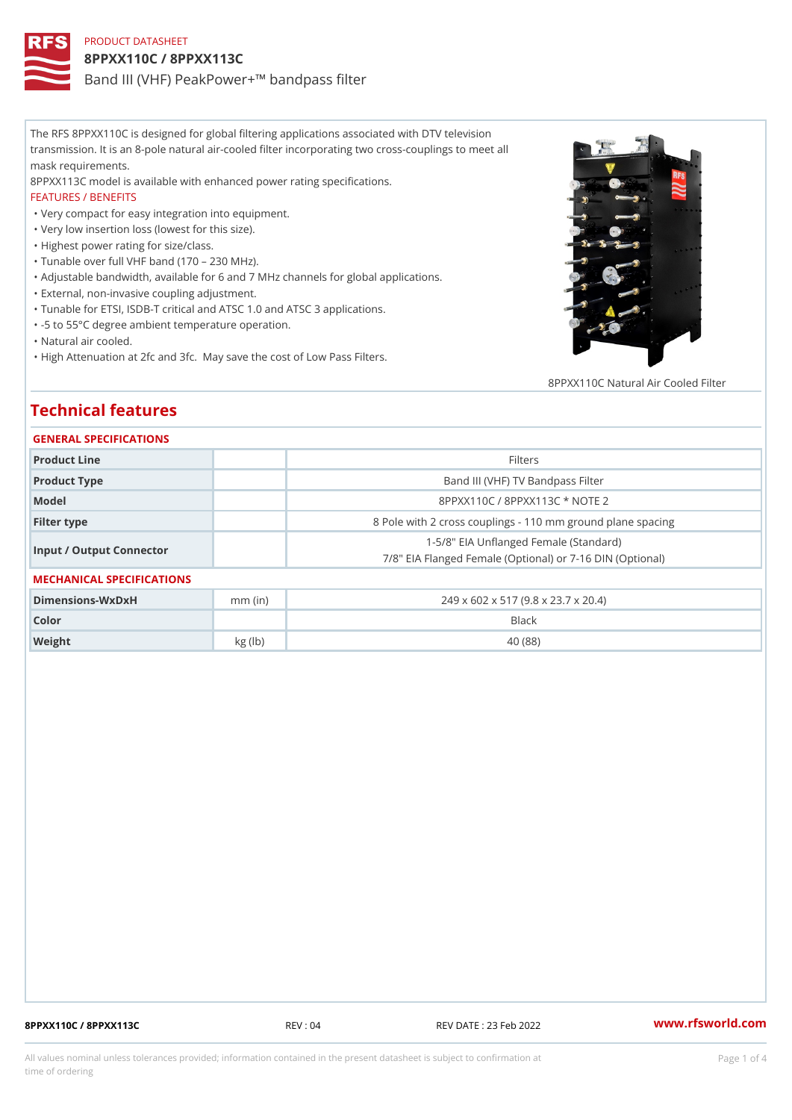# PRODUCT DATASHEET 8PPXX110C / 8PPXX113C Band III (VHF) PeakPower+!" bandpass filter

The RFS 8PPXX110C is designed for global filtering applications associated with DTV television transmission. It is an 8-pole natural air-cooled filter incorporating two cross-couplings to meet all mask requirements.

8PPXX113C model is available with enhanced power rating specifications.

## FEATURES / BENEFITS

"Very compact for easy integration into equipment.

"Very low insertion loss (lowest for this size).

"Highest power rating for size/class.

"Tunable over full VHF band (170 230 MHz).

"Adjustable bandwidth, available for 6 and 7 MHz channels for global applications.

"External, non-invasive coupling adjustment.

"Tunable for ETSI, ISDB-T critical and ATSC 1.0 and ATSC 3 applications.

"-5 to 55°C degree ambient temperature operation.

"Natural air cooled.

"High Attenuation at 2fc and 3fc. May save the cost of Low Pass Filters.

8PPXX110C Natural Air Cooled

# Technical features

### GENERAL SPECIFICATIONS

| Product Line             | Filters                                                                                        |  |  |  |  |
|--------------------------|------------------------------------------------------------------------------------------------|--|--|--|--|
| Product Type             | Band III (VHF) TV Bandpass Filter                                                              |  |  |  |  |
| Model                    | 8PPXX110C / 8PPXX113C * NOTE 2                                                                 |  |  |  |  |
| Filter type              | 8 Pole with 2 cross couplings - 110 mm ground planes                                           |  |  |  |  |
| Input / Output Connector | 1-5/8" EIA Unflanged Female (Standard)<br>7/8" EIA Flanged Female (Optional) or 7-16 DIN (Opti |  |  |  |  |

### MECHANICAL SPECIFICATIONS

| Dimensions - WxDxH | $mm$ (in) | 249 x 602 x 517 (9.8 x 23.7 x 20.4) |
|--------------------|-----------|-------------------------------------|
| Color              |           | Black                               |
| Weight             | kg (lb)   | 40 (88)                             |

8PPXX110C / 8PPXX113C REV : 04 REV DATE : 23 Feb 2022 [www.](https://www.rfsworld.com)rfsworld.com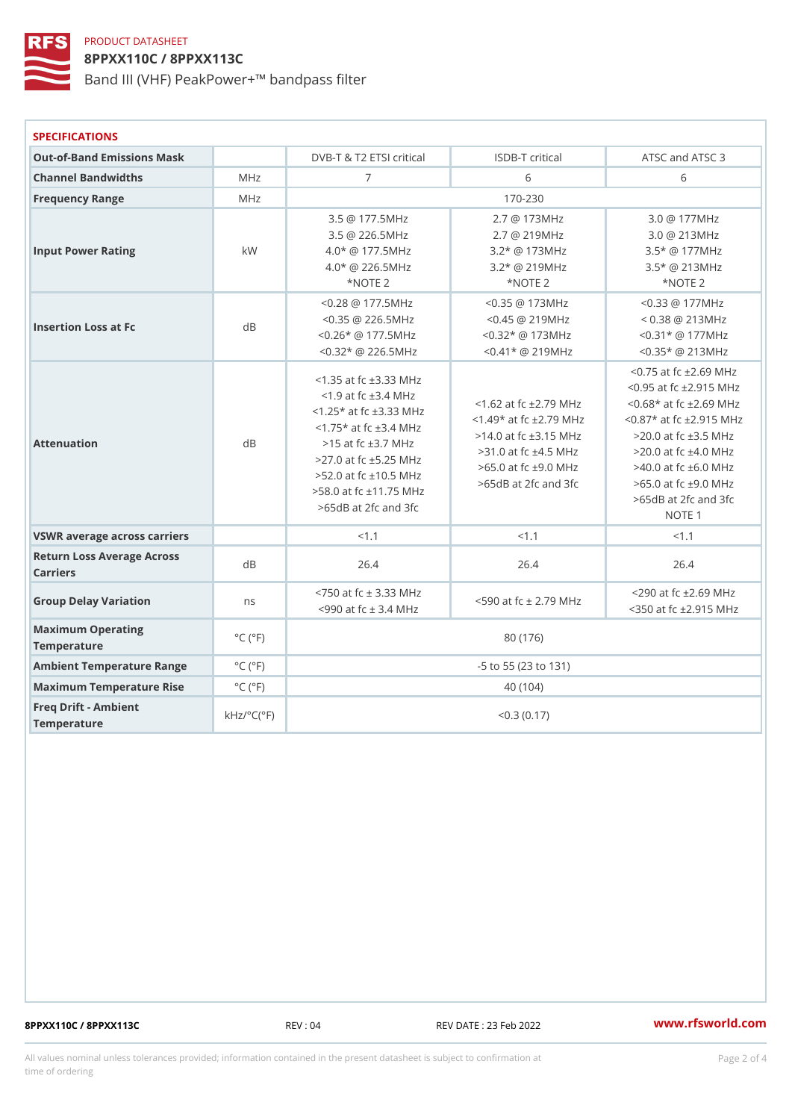# PRODUCT DATASHEET 8PPXX110C / 8PPXX113C Band III (VHF) PeakPower+!" bandpass filter

| <b>SPECIFICATIONS</b>                  |                                            |                                                                                                                                                                                      |                                                                                      |                                                                                                                                                                                                                                                                                                                                                                                        |  |  |
|----------------------------------------|--------------------------------------------|--------------------------------------------------------------------------------------------------------------------------------------------------------------------------------------|--------------------------------------------------------------------------------------|----------------------------------------------------------------------------------------------------------------------------------------------------------------------------------------------------------------------------------------------------------------------------------------------------------------------------------------------------------------------------------------|--|--|
| Out-of-Band Emissions Mask             |                                            |                                                                                                                                                                                      | DVB-T & T2 ETSI triticalSDB-T critical                                               | ATSC and ATSC 3                                                                                                                                                                                                                                                                                                                                                                        |  |  |
| Channel Bandwidths                     | MHz                                        | $\overline{7}$                                                                                                                                                                       | 6                                                                                    | 6                                                                                                                                                                                                                                                                                                                                                                                      |  |  |
| Frequency Range                        | MHz                                        |                                                                                                                                                                                      | $170 - 230$                                                                          |                                                                                                                                                                                                                                                                                                                                                                                        |  |  |
| Input Power Rating                     | k W                                        | 3.5 @ 177.5MHz<br>3.5 @ 226.5MHz<br>$4.0*$ @ 177.5MHz<br>$4.0*$ @ 226.5MHz<br>*NOTE 2                                                                                                | 2.7 @ 173MHz<br>2.7 @ 219MHz<br>$3.2*$ @ 173MHz<br>$3.2$ * @ 219MHz<br>*NOTE 2       | 3.0 @ 177MHz<br>3.0 @ 213MHz<br>3.5* @ 177MHz<br>3.5* @ 213MHz<br>*NOTE 2                                                                                                                                                                                                                                                                                                              |  |  |
| Insertion Loss at Fc                   | d B                                        | $< 0.28$ @ 177.5MHz<br>$< 0.35$ @ 226.5MHz<br>$< 0.26$ * @ 177.5MHz<br>$< 0.32$ * @ 226.5MHz                                                                                         | $< 0.35$ @ 173MHz<br>$< 0.45$ @ 219MHz<br>$< 0.32$ * @ 173MHz<br>$< 0.41$ * @ 219MHz | $< 0.33$ @ 177MHz<br>$< 0.38$ @ 213MHz<br>$< 0.31$ * @ 177MHz<br>$< 0.35$ * @ 213MHz                                                                                                                                                                                                                                                                                                   |  |  |
| Attenuation                            | dB                                         | $<$ 1.35 at fc $\pm$ 3.33 MHz<br>$<$ 1.9 at fc $\pm$ 3.4 MHz<br>$< 1.25$ * at fc $\pm 3.33$ MHz<br>$>15$ at fc $\pm 3.7$ MHz<br>$>58.0$ at fc $±11.75$ MHz<br>$>65dB$ at 2fc and 3fc |                                                                                      | $< 0.75$ at fc $\pm 2.69$ MH<br>$< 0.95$ at fc $\pm 2.915$ MH<br><1.62 at fc ±2.79 MHx2.68* at fc ±2.69 MH<br><1.75* at fc ±3.4 MHz<br>$514.0$ at fc $\pm 3.15$ MHz 20.0 at fc $\pm 3.5$ MHz<br>>27.0 at fc ±5.25 MHz >31.0 at fc ±4.5 MHz >20.0 at fc ±4.0 MHz<br>>52.0 at fc ±10.5 MHz<br>$\frac{2}{3}$ >65dB at 2fc and 3fc>65.0 at fc ±9.0 MHz<br>$>65dB$ at 2fc and 3fc<br>NOTE 1 |  |  |
| VSWR average across carriers           |                                            | < 1.1                                                                                                                                                                                | < 1.1                                                                                | < 1.1                                                                                                                                                                                                                                                                                                                                                                                  |  |  |
| Return Loss Average Across<br>Carriers |                                            | 26.4                                                                                                                                                                                 | 26.4                                                                                 | 26.4                                                                                                                                                                                                                                                                                                                                                                                   |  |  |
| Group Delay Variation                  | n s                                        |                                                                                                                                                                                      |                                                                                      | <750 at fc ± 3.33 MHz<br><590 at fc ± 2.79 MH <sub>2</sub><br><350 at fc ± 2.915 MH                                                                                                                                                                                                                                                                                                    |  |  |
| Maximum Operating<br>Temperature       | $^{\circ}$ C ( $^{\circ}$ F                |                                                                                                                                                                                      | 80 (176)                                                                             |                                                                                                                                                                                                                                                                                                                                                                                        |  |  |
| Ambient Temperature RangeC (°F         |                                            | -5 to 55 (23 to 131)                                                                                                                                                                 |                                                                                      |                                                                                                                                                                                                                                                                                                                                                                                        |  |  |
| Maximum Temperature Flise°C (°F        |                                            |                                                                                                                                                                                      | 40 (104)                                                                             |                                                                                                                                                                                                                                                                                                                                                                                        |  |  |
| Freq Drift - Ambient<br>Temperature    | $k$ H z / $\circ$ C ( $\upharpoonright$ F) |                                                                                                                                                                                      | $< 0.3$ (0.17)                                                                       |                                                                                                                                                                                                                                                                                                                                                                                        |  |  |

8PPXX110C / 8PPXX113C REV : 04 REV DATE : 23 Feb 2022 [www.](https://www.rfsworld.com)rfsworld.com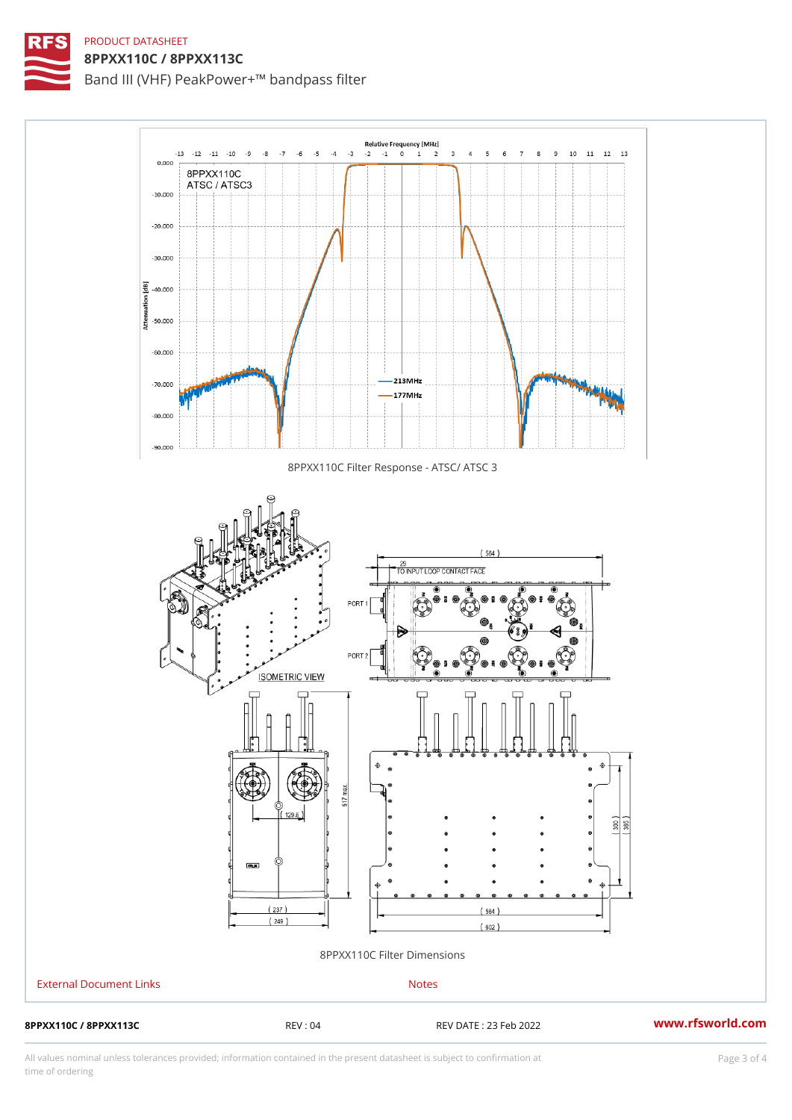## PRODUCT DATASHEET 8PPXX110C / 8PPXX113C

Band III (VHF) PeakPower+!" bandpass filter

8PPXX110C Filter Response - ATSC/ ATSC 3

## 8PPXX110C Filter Dimensions

| External Document Links               |         | Notes                  |                  |
|---------------------------------------|---------|------------------------|------------------|
| 8 P P X X 1 1 0 C / 8 P P X X 1 1 3 C | REV: 04 | REV DATE : 23 Feb 2022 | www.rfsworld.com |

All values nominal unless tolerances provided; information contained in the present datasheet is subject to Pcapgeling that i time of ordering